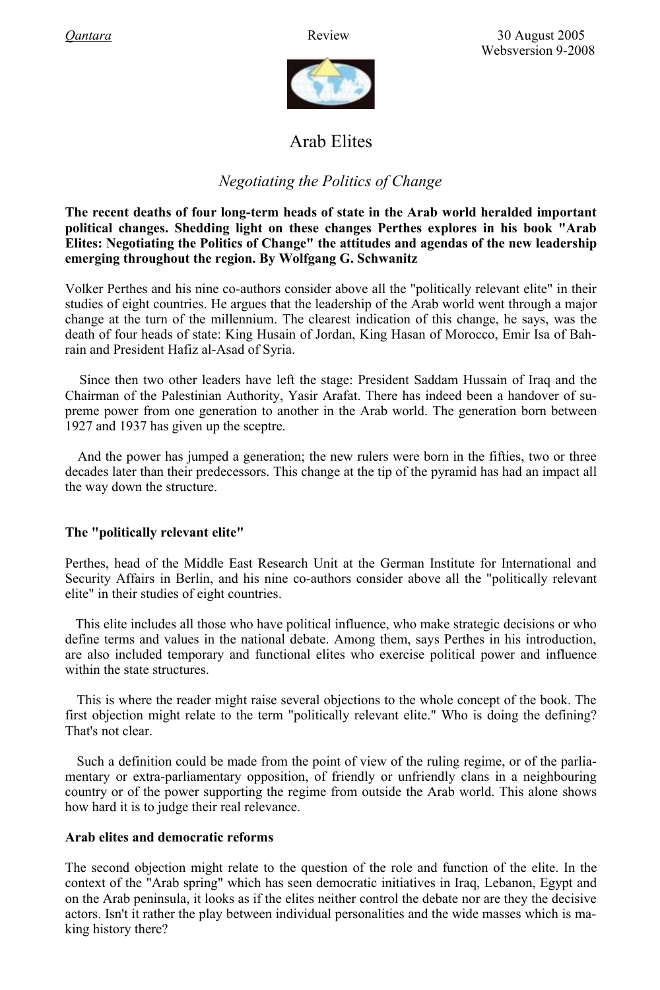

# Arab Elites

## *Negotiating the Politics of Change*

**The recent deaths of four long-term heads of state in the Arab world heralded important political changes. Shedding light on these changes Perthes explores in his book "Arab Elites: Negotiating the Politics of Change" the attitudes and agendas of the new leadership emerging throughout the region. By Wolfgang G. Schwanitz**

Volker Perthes and his nine co-authors consider above all the "politically relevant elite" in their studies of eight countries. He argues that the leadership of the Arab world went through a major change at the turn of the millennium. The clearest indication of this change, he says, was the death of four heads of state: King Husain of Jordan, King Hasan of Morocco, Emir Isa of Bahrain and President Hafiz al-Asad of Syria.

Since then two other leaders have left the stage: President Saddam Hussain of Iraq and the Chairman of the Palestinian Authority, Yasir Arafat. There has indeed been a handover of supreme power from one generation to another in the Arab world. The generation born between 1927 and 1937 has given up the sceptre.

And the power has jumped a generation; the new rulers were born in the fifties, two or three decades later than their predecessors. This change at the tip of the pyramid has had an impact all the way down the structure.

### **The "politically relevant elite"**

Perthes, head of the Middle East Research Unit at the German Institute for International and Security Affairs in Berlin, and his nine co-authors consider above all the "politically relevant elite" in their studies of eight countries.

 This elite includes all those who have political influence, who make strategic decisions or who define terms and values in the national debate. Among them, says Perthes in his introduction, are also included temporary and functional elites who exercise political power and influence within the state structures.

This is where the reader might raise several objections to the whole concept of the book. The first objection might relate to the term "politically relevant elite." Who is doing the defining? That's not clear.

Such a definition could be made from the point of view of the ruling regime, or of the parliamentary or extra-parliamentary opposition, of friendly or unfriendly clans in a neighbouring country or of the power supporting the regime from outside the Arab world. This alone shows how hard it is to judge their real relevance.

#### **Arab elites and democratic reforms**

The second objection might relate to the question of the role and function of the elite. In the context of the "Arab spring" which has seen democratic initiatives in Iraq, Lebanon, Egypt and on the Arab peninsula, it looks as if the elites neither control the debate nor are they the decisive actors. Isn't it rather the play between individual personalities and the wide masses which is making history there?